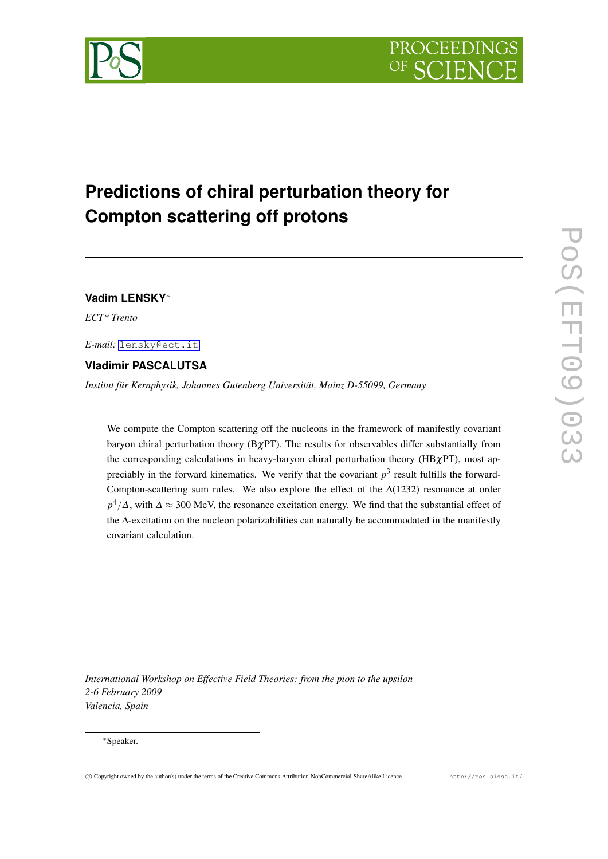# **Predictions of chiral perturbation theory for Compton scattering off protons**

# **Vadim LENSKY***∗*

*ECT\* Trento*

*E-mail:* [lensky@ect.it](mailto:lensky@ect.it)

## **Vladimir PASCALUTSA**

*Institut für Kernphysik, Johannes Gutenberg Universität, Mainz D-55099, Germany*

We compute the Compton scattering off the nucleons in the framework of manifestly covariant baryon chiral perturbation theory  $(B\chi PT)$ . The results for observables differ substantially from the corresponding calculations in heavy-baryon chiral perturbation theory ( $HB\chi PT$ ), most appreciably in the forward kinematics. We verify that the covariant  $p<sup>3</sup>$  result fulfills the forward-Compton-scattering sum rules. We also explore the effect of the  $\Delta(1232)$  resonance at order *p*<sup>4</sup>/∆, with  $\Delta \approx 300$  MeV, the resonance excitation energy. We find that the substantial effect of the ∆-excitation on the nucleon polarizabilities can naturally be accommodated in the manifestly covariant calculation.

*International Workshop on Effective Field Theories: from the pion to the upsilon 2-6 February 2009 Valencia, Spain*

#### *∗*Speaker.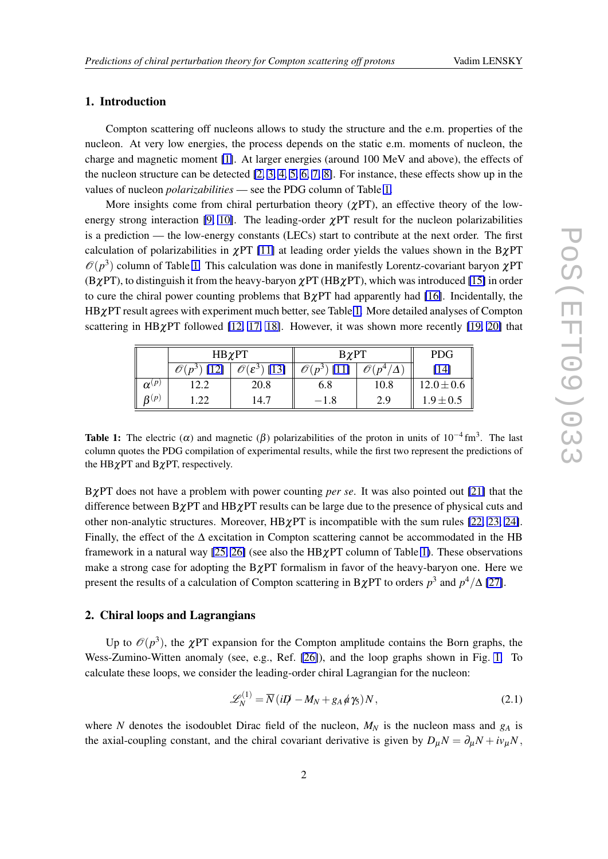#### <span id="page-1-0"></span>1. Introduction

Compton scattering off nucleons allows to study the structure and the e.m. properties of the nucleon. At very low energies, the process depends on the static e.m. moments of nucleon, the charge and magnetic moment [\[1\]](#page-5-0). At larger energies (around 100 MeV and above), the effects of the nucleon structure can be detected  $[2, 3, 4, 5, 6, 7, 8]$  $[2, 3, 4, 5, 6, 7, 8]$  $[2, 3, 4, 5, 6, 7, 8]$  $[2, 3, 4, 5, 6, 7, 8]$  $[2, 3, 4, 5, 6, 7, 8]$  $[2, 3, 4, 5, 6, 7, 8]$  $[2, 3, 4, 5, 6, 7, 8]$  $[2, 3, 4, 5, 6, 7, 8]$  $[2, 3, 4, 5, 6, 7, 8]$  $[2, 3, 4, 5, 6, 7, 8]$  $[2, 3, 4, 5, 6, 7, 8]$  $[2, 3, 4, 5, 6, 7, 8]$  $[2, 3, 4, 5, 6, 7, 8]$ . For instance, these effects show up in the values of nucleon *polarizabilities* — see the PDG column of Table 1.

More insights come from chiral perturbation theory ( $\chi$ PT), an effective theory of the low-energy strong interaction [\[9,](#page-5-0) [10\]](#page-5-0). The leading-order  $\gamma PT$  result for the nucleon polarizabilities is a prediction — the low-energy constants (LECs) start to contribute at the next order. The first calculation of polarizabilities in  $\chi$ PT [\[11\]](#page-5-0) at leading order yields the values shown in the B $\chi$ PT  $\mathcal{O}(p^3)$  column of Table 1. This calculation was done in manifestly Lorentz-covariant baryon  $\chi$ PT  $(B\chi PT)$ , to distinguish it from the heavy-baryon  $\chi PT$  (HB $\chi PT$ ), which was introduced [\[15\]](#page-6-0) in order to cure the chiral power counting problems that  $B\gamma PT$  had apparently had [\[16\]](#page-6-0). Incidentally, the HBχPT result agrees with experiment much better, see Table 1. More detailed analyses of Compton scattering in HB $\chi$ PT followed [\[12,](#page-5-0) [17,](#page-6-0) [18\]](#page-6-0). However, it was shown more recently [\[19,](#page-6-0) [20\]](#page-6-0) that

|                     | $HB\chi PT$ |                                                   | $B\chi PT$                                                                                                                |                | <b>PDG</b>     |
|---------------------|-------------|---------------------------------------------------|---------------------------------------------------------------------------------------------------------------------------|----------------|----------------|
|                     | R١<br>(12)  | $\overline{\mathscr{O}}(\varepsilon^3)$<br>$[13]$ | $\mathscr{O}(% \mathcal{O}(\mathcal{N})\times \mathcal{O}(\mathcal{N}))=\mathscr{O}(\mathcal{O}(\mathcal{N}))$<br>$n^{3}$ | p <sup>4</sup> | [14]           |
| $\alpha^{(p)}$      | <u>L.L</u>  | 20.8                                              | 6.8                                                                                                                       | 10.8           | $12.0 \pm 0.6$ |
| $\pmb{\beta}^{(p)}$ | ാ<br>$-44$  | 14.7                                              | $-1.8$                                                                                                                    | 2.9            | $1.9 \pm 0.5$  |

Table 1: The electric ( $\alpha$ ) and magnetic ( $\beta$ ) polarizabilities of the proton in units of 10<sup>-4</sup> fm<sup>3</sup>. The last column quotes the PDG compilation of experimental results, while the first two represent the predictions of the HB $\chi$ PT and B $\chi$ PT, respectively.

BχPT does not have a problem with power counting *per se*. It was also pointed out [\[21\]](#page-6-0) that the difference between  $B\chi PT$  and  $HB\chi PT$  results can be large due to the presence of physical cuts and other non-analytic structures. Moreover,  $HB\chi PT$  is incompatible with the sum rules [\[22,](#page-6-0) [23,](#page-6-0) [24\]](#page-6-0). Finally, the effect of the  $\Delta$  excitation in Compton scattering cannot be accommodated in the HB framework in a natural way [\[25,](#page-6-0) [26\]](#page-6-0) (see also the HB $\chi$ PT column of Table 1). These observations make a strong case for adopting the  $B\chi PT$  formalism in favor of the heavy-baryon one. Here we present the results of a calculation of Compton scattering in BχPT to orders *p* 3 and *p* <sup>4</sup>*/*∆ [\[27\]](#page-6-0).

#### 2. Chiral loops and Lagrangians

Up to  $\mathcal{O}(p^3)$ , the  $\chi$ PT expansion for the Compton amplitude contains the Born graphs, the Wess-Zumino-Witten anomaly (see, e.g., Ref. [\[26\]](#page-6-0)), and the loop graphs shown in Fig. [1.](#page-2-0) To calculate these loops, we consider the leading-order chiral Lagrangian for the nucleon:

$$
\mathscr{L}_N^{(1)} = \overline{N} \left( iD \right) - M_N + g_A \, \phi \, \gamma_5 \right) N, \tag{2.1}
$$

where *N* denotes the isodoublet Dirac field of the nucleon,  $M_N$  is the nucleon mass and  $g_A$  is the axial-coupling constant, and the chiral covariant derivative is given by  $D_{\mu}N = \partial_{\mu}N + i v_{\mu}N$ ,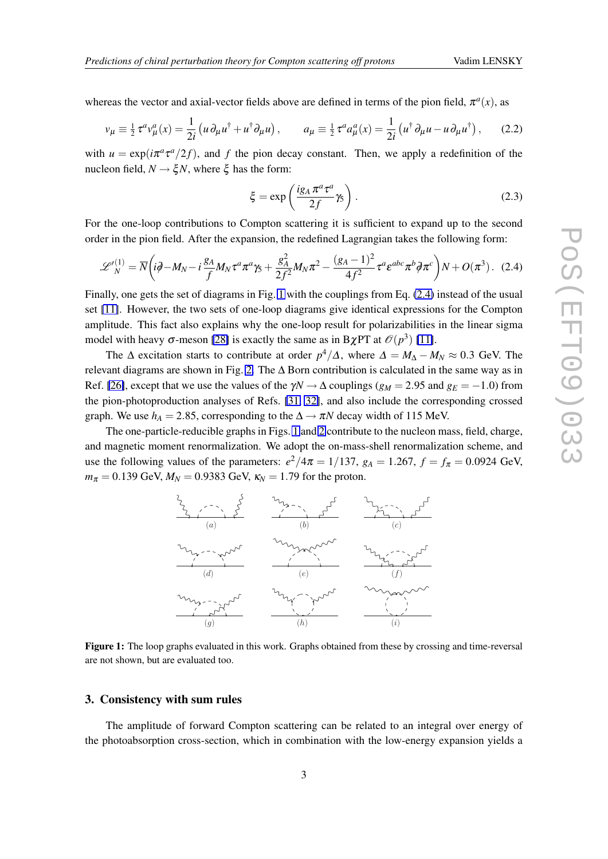<span id="page-2-0"></span>whereas the vector and axial-vector fields above are defined in terms of the pion field,  $\pi^a(x)$ , as

$$
v_{\mu} \equiv \frac{1}{2} \tau^a v_{\mu}^a(x) = \frac{1}{2i} \left( u \partial_{\mu} u^{\dagger} + u^{\dagger} \partial_{\mu} u \right), \qquad a_{\mu} \equiv \frac{1}{2} \tau^a a_{\mu}^a(x) = \frac{1}{2i} \left( u^{\dagger} \partial_{\mu} u - u \partial_{\mu} u^{\dagger} \right), \qquad (2.2)
$$

with  $u = \exp(i\pi^a \tau^a/2f)$ , and f the pion decay constant. Then, we apply a redefinition of the nucleon field,  $N \rightarrow \xi N$ , where  $\xi$  has the form:

$$
\xi = \exp\left(\frac{ig_A \pi^a \tau^a}{2f} \gamma_5\right). \tag{2.3}
$$

For the one-loop contributions to Compton scattering it is sufficient to expand up to the second order in the pion field. After the expansion, the redefined Lagrangian takes the following form:

$$
\mathscr{L}'_{N}^{(1)} = \overline{N} \left( i\partial \!\!\!/-M_{N} - i\frac{g_{A}}{f} M_{N} \tau^{a} \pi^{a} \gamma_{5} + \frac{g_{A}^{2}}{2f^{2}} M_{N} \pi^{2} - \frac{(g_{A} - 1)^{2}}{4f^{2}} \tau^{a} \varepsilon^{abc} \pi^{b} \partial \pi^{c} \right) N + O(\pi^{3}). \quad (2.4)
$$

Finally, one gets the set of diagrams in Fig. 1 with the couplings from Eq. (2.4) instead of the usual set [\[11\]](#page-5-0). However, the two sets of one-loop diagrams give identical expressions for the Compton amplitude. This fact also explains why the one-loop result for polarizabilities in the linear sigma model with heavy  $\sigma$ -meson [\[28\]](#page-6-0) is exactly the same as in B $\chi$ PT at  $\mathcal{O}(p^3)$  [\[11\]](#page-5-0).

The  $\Delta$  excitation starts to contribute at order  $p^4/\Delta$ , where  $\Delta = M_\Delta - M_N \approx 0.3$  GeV. The relevant diagrams are shown in Fig. [2.](#page-3-0) The  $\Delta$  Born contribution is calculated in the same way as in Ref. [\[26\]](#page-6-0), except that we use the values of the  $\gamma N \rightarrow \Delta$  couplings ( $g_M = 2.95$  and  $g_E = -1.0$ ) from the pion-photoproduction analyses of Refs. [\[31,](#page-6-0) [32\]](#page-6-0), and also include the corresponding crossed graph. We use  $h_A = 2.85$ , corresponding to the  $\Delta \rightarrow \pi N$  decay width of 115 MeV.

The one-particle-reducible graphs in Figs. 1 and [2](#page-3-0) contribute to the nucleon mass, field, charge, and magnetic moment renormalization. We adopt the on-mass-shell renormalization scheme, and use the following values of the parameters:  $e^2/4\pi = 1/137$ ,  $g_A = 1.267$ ,  $f = f_\pi = 0.0924$  GeV,  $m_{\pi} = 0.139$  GeV,  $M_N = 0.9383$  GeV,  $\kappa_N = 1.79$  for the proton.



Figure 1: The loop graphs evaluated in this work. Graphs obtained from these by crossing and time-reversal are not shown, but are evaluated too.

#### 3. Consistency with sum rules

The amplitude of forward Compton scattering can be related to an integral over energy of the photoabsorption cross-section, which in combination with the low-energy expansion yields a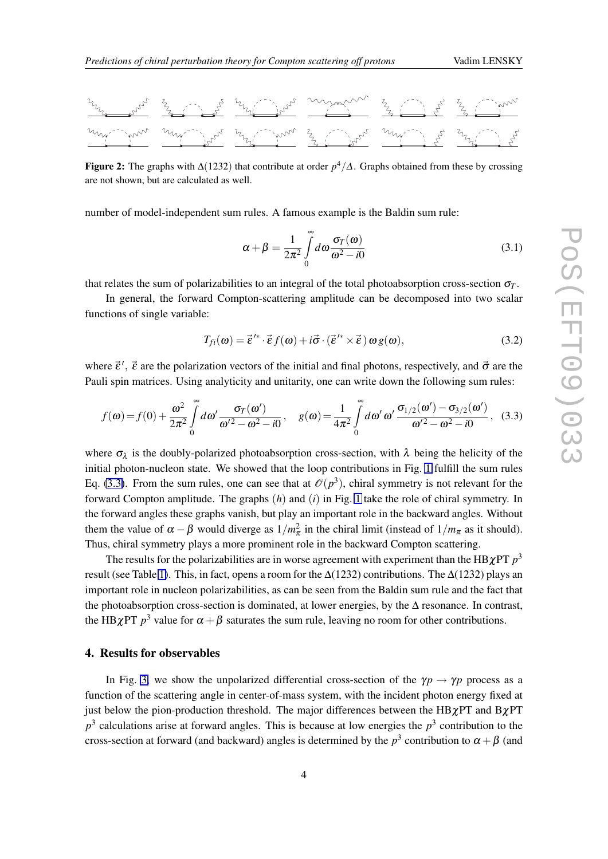<span id="page-3-0"></span>

Figure 2: The graphs with ∆(1232) that contribute at order *p* <sup>4</sup>*/*∆. Graphs obtained from these by crossing are not shown, but are calculated as well.

number of model-independent sum rules. A famous example is the Baldin sum rule:

$$
\alpha + \beta = \frac{1}{2\pi^2} \int_{0}^{\infty} d\omega \frac{\sigma_T(\omega)}{\omega^2 - i0}
$$
 (3.1)

that relates the sum of polarizabilities to an integral of the total photoabsorption cross-section  $\sigma_T$ .

In general, the forward Compton-scattering amplitude can be decomposed into two scalar functions of single variable:

$$
T_{fi}(\boldsymbol{\omega}) = \vec{\boldsymbol{\varepsilon}}'^{*} \cdot \vec{\boldsymbol{\varepsilon}} f(\boldsymbol{\omega}) + i \vec{\boldsymbol{\sigma}} \cdot (\vec{\boldsymbol{\varepsilon}}'^{*} \times \vec{\boldsymbol{\varepsilon}}) \omega g(\boldsymbol{\omega}), \qquad (3.2)
$$

where  $\vec{\varepsilon}'$ ,  $\vec{\varepsilon}$  are the polarization vectors of the initial and final photons, respectively, and  $\vec{\sigma}$  are the Pauli spin matrices. Using analyticity and unitarity, one can write down the following sum rules:

$$
f(\omega) = f(0) + \frac{\omega^2}{2\pi^2} \int_0^\infty d\omega' \frac{\sigma_T(\omega')}{\omega'^2 - \omega^2 - i0}, \quad g(\omega) = \frac{1}{4\pi^2} \int_0^\infty d\omega' \omega' \frac{\sigma_{1/2}(\omega') - \sigma_{3/2}(\omega')}{\omega'^2 - \omega^2 - i0}, \quad (3.3)
$$

where  $\sigma_{\lambda}$  is the doubly-polarized photoabsorption cross-section, with  $\lambda$  being the helicity of the initial photon-nucleon state. We showed that the loop contributions in Fig. [1](#page-2-0) fulfill the sum rules Eq. (3.3). From the sum rules, one can see that at  $\mathcal{O}(p^3)$ , chiral symmetry is not relevant for the forward Compton amplitude. The graphs (*h*) and (*i*) in Fig. [1](#page-2-0) take the role of chiral symmetry. In the forward angles these graphs vanish, but play an important role in the backward angles. Without them the value of  $\alpha - \beta$  would diverge as  $1/m_{\pi}^2$  in the chiral limit (instead of  $1/m_{\pi}$  as it should). Thus, chiral symmetry plays a more prominent role in the backward Compton scattering.

The results for the polarizabilities are in worse agreement with experiment than the HB $\chi$ PT  $p^3$ result (see Table [1\)](#page-1-0). This, in fact, opens a room for the  $\Delta(1232)$  contributions. The  $\Delta(1232)$  plays an important role in nucleon polarizabilities, as can be seen from the Baldin sum rule and the fact that the photoabsorption cross-section is dominated, at lower energies, by the  $\Delta$  resonance. In contrast, the HB $\chi$ PT  $p^3$  value for  $\alpha + \beta$  saturates the sum rule, leaving no room for other contributions.

#### 4. Results for observables

In Fig. [3,](#page-4-0) we show the unpolarized differential cross-section of the  $\gamma p \rightarrow \gamma p$  process as a function of the scattering angle in center-of-mass system, with the incident photon energy fixed at just below the pion-production threshold. The major differences between the HB $\chi$ PT and B $\chi$ PT  $p<sup>3</sup>$  calculations arise at forward angles. This is because at low energies the  $p<sup>3</sup>$  contribution to the cross-section at forward (and backward) angles is determined by the  $p^3$  contribution to  $\alpha + \beta$  (and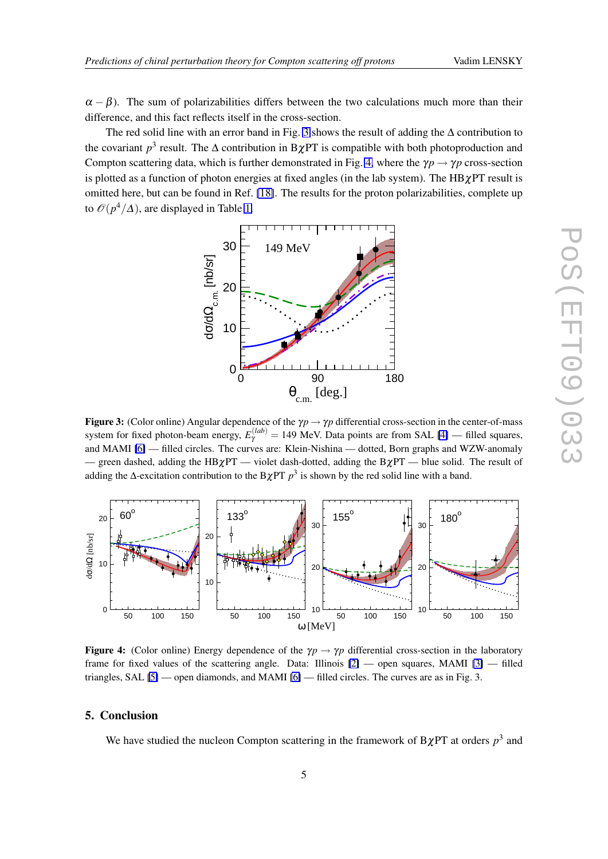<span id="page-4-0"></span> $\alpha - \beta$ ). The sum of polarizabilities differs between the two calculations much more than their difference, and this fact reflects itself in the cross-section.

The red solid line with an error band in Fig. 3 shows the result of adding the ∆ contribution to the covariant  $p^3$  result. The  $\Delta$  contribution in B $\chi$ PT is compatible with both photoproduction and Compton scattering data, which is further demonstrated in Fig. 4, where the  $\gamma p \rightarrow \gamma p$  cross-section is plotted as a function of photon energies at fixed angles (in the lab system). The  $HB\chi PT$  result is omitted here, but can be found in Ref. [\[18\]](#page-6-0). The results for the proton polarizabilities, complete up to  $\mathcal{O}(p^4/\Delta)$ , are displayed in Table [1.](#page-1-0)



Figure 3: (Color online) Angular dependence of the  $\gamma p \to \gamma p$  differential cross-section in the center-of-mass system for fixed photon-beam energy,  $E_{\gamma}^{(lab)} = 149$  MeV. Data points are from SAL [\[4\]](#page-5-0) — filled squares, and MAMI [\[6\]](#page-5-0) — filled circles. The curves are: Klein-Nishina — dotted, Born graphs and WZW-anomaly — green dashed, adding the HB $\chi$ PT — violet dash-dotted, adding the B $\chi$ PT — blue solid. The result of adding the ∆-excitation contribution to the B $\chi$ PT  $p^3$  is shown by the red solid line with a band.



Figure 4: (Color online) Energy dependence of the  $\gamma p \rightarrow \gamma p$  differential cross-section in the laboratory frame for fixed values of the scattering angle. Data: Illinois [\[2\]](#page-5-0) — open squares, MAMI [\[3\]](#page-5-0) — filled triangles, SAL [\[5\]](#page-5-0) — open diamonds, and MAMI [\[6\]](#page-5-0) — filled circles. The curves are as in Fig. 3.

#### 5. Conclusion

We have studied the nucleon Compton scattering in the framework of  $B\chi PT$  at orders  $p^3$  and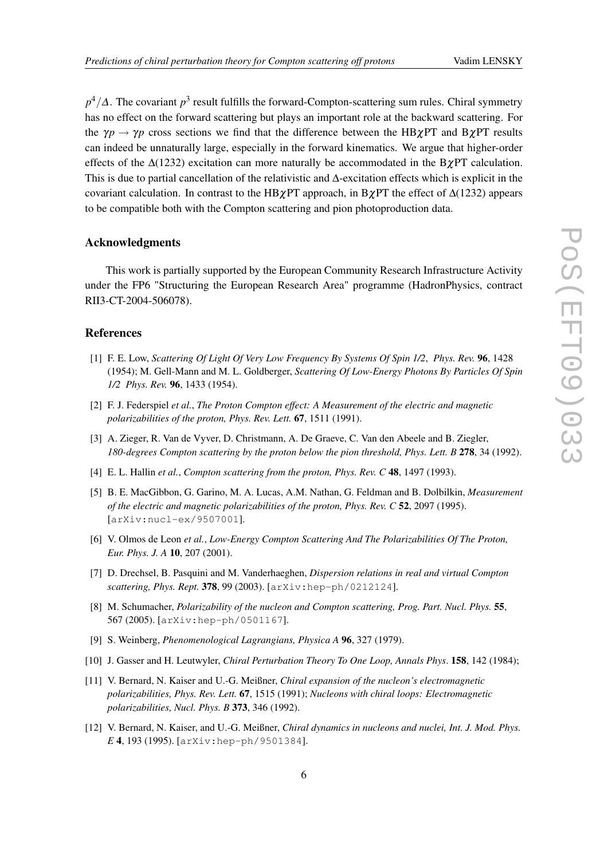<span id="page-5-0"></span>*p*<sup>4</sup>/∆. The covariant *p*<sup>3</sup> result fulfills the forward-Compton-scattering sum rules. Chiral symmetry has no effect on the forward scattering but plays an important role at the backward scattering. For the  $\gamma p \rightarrow \gamma p$  cross sections we find that the difference between the HB $\chi PT$  and B $\chi PT$  results can indeed be unnaturally large, especially in the forward kinematics. We argue that higher-order effects of the  $\Delta(1232)$  excitation can more naturally be accommodated in the B $\gamma PT$  calculation. This is due to partial cancellation of the relativistic and ∆-excitation effects which is explicit in the covariant calculation. In contrast to the HB $\chi$ PT approach, in B $\chi$ PT the effect of  $\Delta(1232)$  appears to be compatible both with the Compton scattering and pion photoproduction data.

#### Acknowledgments

This work is partially supported by the European Community Research Infrastructure Activity under the FP6 "Structuring the European Research Area" programme (HadronPhysics, contract RII3-CT-2004-506078).

### References

- [1] F. E. Low, *Scattering Of Light Of Very Low Frequency By Systems Of Spin 1/2*, *Phys. Rev.* 96, 1428 (1954); M. Gell-Mann and M. L. Goldberger, *Scattering Of Low-Energy Photons By Particles Of Spin 1/2 Phys. Rev.* 96, 1433 (1954).
- [2] F. J. Federspiel *et al.*, *The Proton Compton effect: A Measurement of the electric and magnetic polarizabilities of the proton, Phys. Rev. Lett.* 67, 1511 (1991).
- [3] A. Zieger, R. Van de Vyver, D. Christmann, A. De Graeve, C. Van den Abeele and B. Ziegler, *180-degrees Compton scattering by the proton below the pion threshold, Phys. Lett. B* 278, 34 (1992).
- [4] E. L. Hallin *et al.*, *Compton scattering from the proton, Phys. Rev. C* 48, 1497 (1993).
- [5] B. E. MacGibbon, G. Garino, M. A. Lucas, A.M. Nathan, G. Feldman and B. Dolbilkin, *Measurement of the electric and magnetic polarizabilities of the proton, Phys. Rev. C* 52, 2097 (1995). [arXiv:nucl-ex/9507001].
- [6] V. Olmos de Leon *et al.*, *Low-Energy Compton Scattering And The Polarizabilities Of The Proton, Eur. Phys. J. A* 10, 207 (2001).
- [7] D. Drechsel, B. Pasquini and M. Vanderhaeghen, *Dispersion relations in real and virtual Compton scattering, Phys. Rept.* 378, 99 (2003). [arXiv:hep-ph/0212124].
- [8] M. Schumacher, *Polarizability of the nucleon and Compton scattering, Prog. Part. Nucl. Phys.* 55, 567 (2005). [arXiv:hep-ph/0501167].
- [9] S. Weinberg, *Phenomenological Lagrangians, Physica A* 96, 327 (1979).
- [10] J. Gasser and H. Leutwyler, *Chiral Perturbation Theory To One Loop, Annals Phys*. 158, 142 (1984);
- [11] V. Bernard, N. Kaiser and U.-G. Meißner, *Chiral expansion of the nucleon's electromagnetic polarizabilities, Phys. Rev. Lett.* 67, 1515 (1991); *Nucleons with chiral loops: Electromagnetic polarizabilities, Nucl. Phys. B* 373, 346 (1992).
- [12] V. Bernard, N. Kaiser, and U.-G. Meißner, *Chiral dynamics in nucleons and nuclei, Int. J. Mod. Phys. E* 4, 193 (1995). [arXiv:hep-ph/9501384].